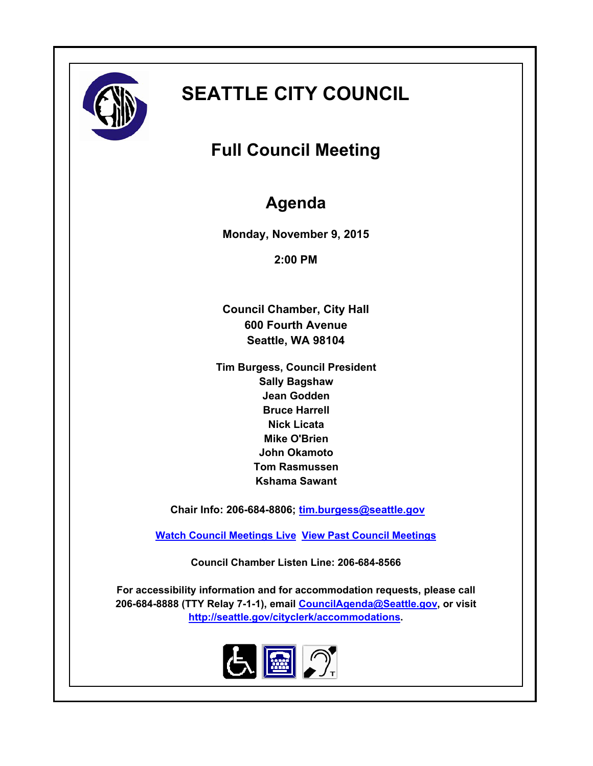

# **SEATTLE CITY COUNCIL**

# **Full Council Meeting**

# **Agenda**

**Monday, November 9, 2015**

**2:00 PM**

**Council Chamber, City Hall 600 Fourth Avenue Seattle, WA 98104**

**Tim Burgess, Council President Sally Bagshaw Jean Godden Bruce Harrell Nick Licata Mike O'Brien John Okamoto Tom Rasmussen Kshama Sawant**

 **Chair Info: 206-684-8806; [tim.burgess@seattle.gov](mailto:tim.burgess@seattle.gov)**

**[Watch Council Meetings Live](http://www.seattle.gov/council/councillive.htm) [View Past Council Meetings](http://www.seattlechannel.org/videos/browseVideos.asp?topic=council)**

**Council Chamber Listen Line: 206-684-8566**

**For accessibility information and for accommodation requests, please call 206-684-8888 (TTY Relay 7-1-1), email [CouncilAgenda@Seattle.gov](mailto: Council.Agenda@Seattle.gov), or visit <http://seattle.gov/cityclerk/accommodations>.**

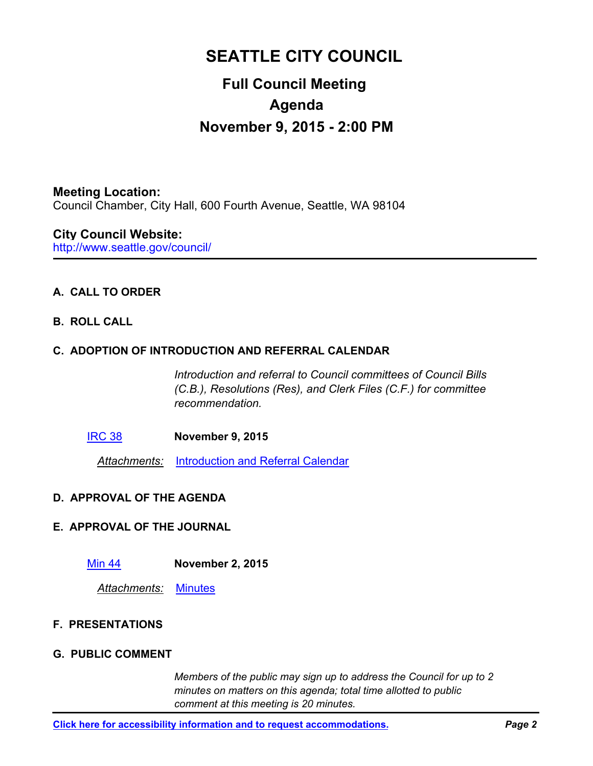## **SEATTLE CITY COUNCIL**

## **Full Council Meeting Agenda November 9, 2015 - 2:00 PM**

**Meeting Location:** Council Chamber, City Hall, 600 Fourth Avenue, Seattle, WA 98104

http://www.seattle.gov/council/ **City Council Website:**

### **A. CALL TO ORDER**

**B. ROLL CALL**

### **C. ADOPTION OF INTRODUCTION AND REFERRAL CALENDAR**

*Introduction and referral to Council committees of Council Bills (C.B.), Resolutions (Res), and Clerk Files (C.F.) for committee recommendation.*

[IRC 38](http://seattle.legistar.com/gateway.aspx?m=l&id=/matter.aspx?key=3317) **November 9, 2015**

*Attachments:* [Introduction and Referral Calendar](http://seattle.legistar.com/gateway.aspx?M=F&ID=272e4e62-c00c-4f45-9f2a-aacd07d1e884.pdf)

#### **D. APPROVAL OF THE AGENDA**

#### **E. APPROVAL OF THE JOURNAL**

[Min 44](http://seattle.legistar.com/gateway.aspx?m=l&id=/matter.aspx?key=3318) **November 2, 2015**

*Attachments:* [Minutes](http://seattle.legistar.com/gateway.aspx?M=F&ID=39102585-caa1-4192-b616-0a80203e8928.pdf)

#### **F. PRESENTATIONS**

#### **G. PUBLIC COMMENT**

*Members of the public may sign up to address the Council for up to 2 minutes on matters on this agenda; total time allotted to public comment at this meeting is 20 minutes.*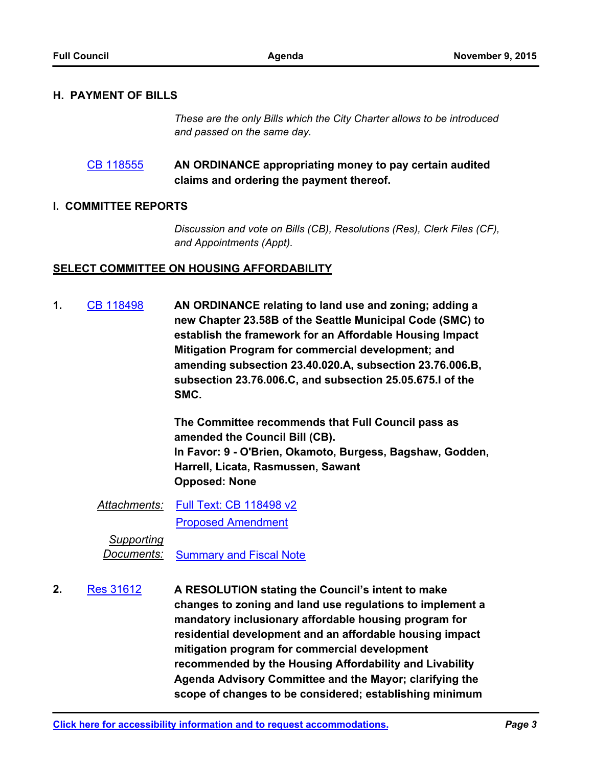#### **H. PAYMENT OF BILLS**

*These are the only Bills which the City Charter allows to be introduced and passed on the same day.*

#### **AN ORDINANCE appropriating money to pay certain audited claims and ordering the payment thereof.** [CB 118555](http://seattle.legistar.com/gateway.aspx?m=l&id=/matter.aspx?key=3289)

#### **I. COMMITTEE REPORTS**

*Discussion and vote on Bills (CB), Resolutions (Res), Clerk Files (CF), and Appointments (Appt).*

#### **SELECT COMMITTEE ON HOUSING AFFORDABILITY**

**AN ORDINANCE relating to land use and zoning; adding a new Chapter 23.58B of the Seattle Municipal Code (SMC) to establish the framework for an Affordable Housing Impact Mitigation Program for commercial development; and amending subsection 23.40.020.A, subsection 23.76.006.B, subsection 23.76.006.C, and subsection 25.05.675.I of the SMC. 1.** [CB 118498](http://seattle.legistar.com/gateway.aspx?m=l&id=/matter.aspx?key=2881)

> **The Committee recommends that Full Council pass as amended the Council Bill (CB). In Favor: 9 - O'Brien, Okamoto, Burgess, Bagshaw, Godden, Harrell, Licata, Rasmussen, Sawant Opposed: None**

*Attachments:* [Full Text: CB 118498 v2](http://seattle.legistar.com/gateway.aspx?M=F&ID=b8185b92-5ce2-46d1-902f-4dec4b3d5cb6.docx) [Proposed Amendment](http://seattle.legistar.com/gateway.aspx?M=F&ID=1010c1eb-2e8a-4704-aa99-19ad38da1120.pdf)

*Supporting Documents:*

[Summary and Fiscal Note](http://seattle.legistar.com/gateway.aspx?M=F&ID=f53045a6-32b0-4588-9cf9-6b0e51025dd8.docx)

**A RESOLUTION stating the Council's intent to make changes to zoning and land use regulations to implement a mandatory inclusionary affordable housing program for residential development and an affordable housing impact mitigation program for commercial development recommended by the Housing Affordability and Livability Agenda Advisory Committee and the Mayor; clarifying the scope of changes to be considered; establishing minimum 2.** [Res 31612](http://seattle.legistar.com/gateway.aspx?m=l&id=/matter.aspx?key=2901)